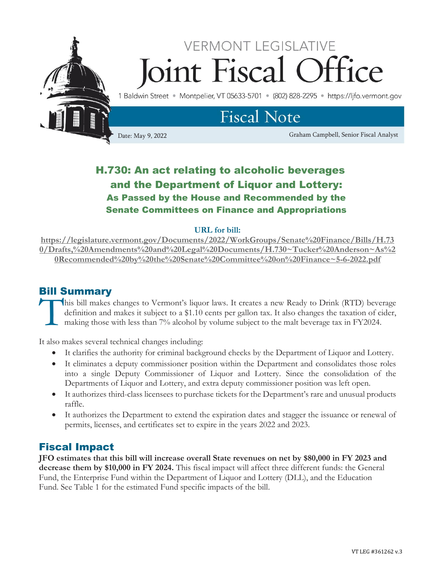

## H.730: An act relating to alcoholic beverages and the Department of Liquor and Lottery: As Passed by the House and Recommended by the Senate Committees on Finance and Appropriations

#### **URL for bill:**

**[https://legislature.vermont.gov/Documents/2022/WorkGroups/Senate%20Finance/Bills/H.73](https://legislature.vermont.gov/Documents/2022/WorkGroups/Senate%20Finance/Bills/H.730/Drafts,%20Amendments%20and%20Legal%20Documents/H.730~Tucker%20Anderson~As%20Recommended%20by%20the%20Senate%20Committee%20on%20Finance~5-6-2022.pdf) [0/Drafts,%20Amendments%20and%20Legal%20Documents/H.730~Tucker%20Anderson~As%2](https://legislature.vermont.gov/Documents/2022/WorkGroups/Senate%20Finance/Bills/H.730/Drafts,%20Amendments%20and%20Legal%20Documents/H.730~Tucker%20Anderson~As%20Recommended%20by%20the%20Senate%20Committee%20on%20Finance~5-6-2022.pdf) [0Recommended%20by%20the%20Senate%20Committee%20on%20Finance~5-6-2022.pdf](https://legislature.vermont.gov/Documents/2022/WorkGroups/Senate%20Finance/Bills/H.730/Drafts,%20Amendments%20and%20Legal%20Documents/H.730~Tucker%20Anderson~As%20Recommended%20by%20the%20Senate%20Committee%20on%20Finance~5-6-2022.pdf)**

## Bill Summary

his bill makes changes to Vermont's liquor laws. It creates a new Ready to Drink (RTD) beverage definition and makes it subject to a \$1.10 cents per gallon tax. It also changes the taxation of cider, making those with less than 7% alcohol by volume subject to the malt beverage tax in FY2024. T<sup>T</sup>

It also makes several technical changes including:

- It clarifies the authority for criminal background checks by the Department of Liquor and Lottery.
- It eliminates a deputy commissioner position within the Department and consolidates those roles into a single Deputy Commissioner of Liquor and Lottery. Since the consolidation of the Departments of Liquor and Lottery, and extra deputy commissioner position was left open.
- It authorizes third-class licensees to purchase tickets for the Department's rare and unusual products raffle.
- It authorizes the Department to extend the expiration dates and stagger the issuance or renewal of permits, licenses, and certificates set to expire in the years 2022 and 2023.

### Fiscal Impact

**JFO estimates that this bill will increase overall State revenues on net by \$80,000 in FY 2023 and decrease them by \$10,000 in FY 2024.** This fiscal impact will affect three different funds: the General Fund, the Enterprise Fund within the Department of Liquor and Lottery (DLL), and the Education Fund. See Table 1 for the estimated Fund specific impacts of the bill.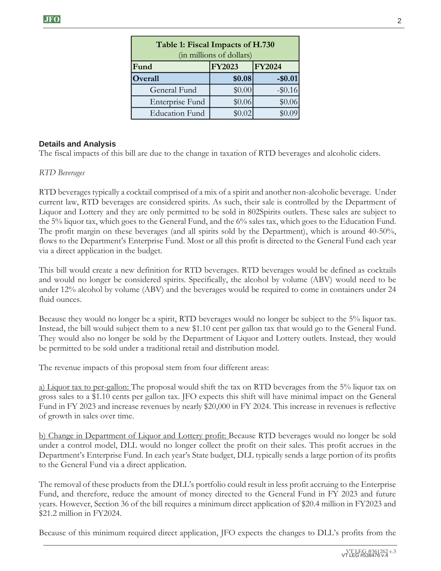| Table 1: Fiscal Impacts of H.730<br>(in millions of dollars) |               |               |
|--------------------------------------------------------------|---------------|---------------|
| Fund                                                         | <b>FY2023</b> | <b>FY2024</b> |
| Overall                                                      | \$0.08        | $-$0.01$      |
| General Fund                                                 | \$0.00        | $-$ \$0.16    |
| Enterprise Fund                                              | \$0.06        | \$0.06        |
| <b>Education Fund</b>                                        | \$0.02        |               |

#### **Details and Analysis**

The fiscal impacts of this bill are due to the change in taxation of RTD beverages and alcoholic ciders.

#### *RTD Beverages*

RTD beverages typically a cocktail comprised of a mix of a spirit and another non-alcoholic beverage. Under current law, RTD beverages are considered spirits. As such, their sale is controlled by the Department of Liquor and Lottery and they are only permitted to be sold in 802Spirits outlets. These sales are subject to the 5% liquor tax, which goes to the General Fund, and the 6% sales tax, which goes to the Education Fund. The profit margin on these beverages (and all spirits sold by the Department), which is around 40-50%, flows to the Department's Enterprise Fund. Most or all this profit is directed to the General Fund each year via a direct application in the budget.

This bill would create a new definition for RTD beverages. RTD beverages would be defined as cocktails and would no longer be considered spirits. Specifically, the alcohol by volume (ABV) would need to be under 12% alcohol by volume (ABV) and the beverages would be required to come in containers under 24 fluid ounces.

Because they would no longer be a spirit, RTD beverages would no longer be subject to the 5% liquor tax. Instead, the bill would subject them to a new \$1.10 cent per gallon tax that would go to the General Fund. They would also no longer be sold by the Department of Liquor and Lottery outlets. Instead, they would be permitted to be sold under a traditional retail and distribution model.

The revenue impacts of this proposal stem from four different areas:

a) Liquor tax to per-gallon: The proposal would shift the tax on RTD beverages from the 5% liquor tax on gross sales to a \$1.10 cents per gallon tax. JFO expects this shift will have minimal impact on the General Fund in FY 2023 and increase revenues by nearly \$20,000 in FY 2024. This increase in revenues is reflective of growth in sales over time.

b) Change in Department of Liquor and Lottery profit: Because RTD beverages would no longer be sold under a control model, DLL would no longer collect the profit on their sales. This profit accrues in the Department's Enterprise Fund. In each year's State budget, DLL typically sends a large portion of its profits to the General Fund via a direct application.

The removal of these products from the DLL's portfolio could result in less profit accruing to the Enterprise Fund, and therefore, reduce the amount of money directed to the General Fund in FY 2023 and future years. However, Section 36 of the bill requires a minimum direct application of \$20.4 million in FY2023 and \$21.2 million in FY2024.

Because of this minimum required direct application, JFO expects the changes to DLL's profits from the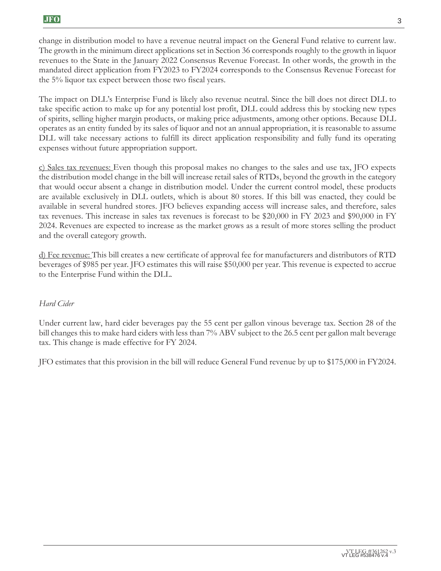change in distribution model to have a revenue neutral impact on the General Fund relative to current law. The growth in the minimum direct applications set in Section 36 corresponds roughly to the growth in liquor revenues to the State in the January 2022 Consensus Revenue Forecast. In other words, the growth in the mandated direct application from FY2023 to FY2024 corresponds to the Consensus Revenue Forecast for the 5% liquor tax expect between those two fiscal years.

The impact on DLL's Enterprise Fund is likely also revenue neutral. Since the bill does not direct DLL to take specific action to make up for any potential lost profit, DLL could address this by stocking new types of spirits, selling higher margin products, or making price adjustments, among other options. Because DLL operates as an entity funded by its sales of liquor and not an annual appropriation, it is reasonable to assume DLL will take necessary actions to fulfill its direct application responsibility and fully fund its operating expenses without future appropriation support.

c) Sales tax revenues: Even though this proposal makes no changes to the sales and use tax, JFO expects the distribution model change in the bill will increase retail sales of RTDs, beyond the growth in the category that would occur absent a change in distribution model. Under the current control model, these products are available exclusively in DLL outlets, which is about 80 stores. If this bill was enacted, they could be available in several hundred stores. JFO believes expanding access will increase sales, and therefore, sales tax revenues. This increase in sales tax revenues is forecast to be \$20,000 in FY 2023 and \$90,000 in FY 2024. Revenues are expected to increase as the market grows as a result of more stores selling the product and the overall category growth.

d) Fee revenue: This bill creates a new certificate of approval fee for manufacturers and distributors of RTD beverages of \$985 per year. JFO estimates this will raise \$50,000 per year. This revenue is expected to accrue to the Enterprise Fund within the DLL.

#### *Hard Cider*

Under current law, hard cider beverages pay the 55 cent per gallon vinous beverage tax. Section 28 of the bill changes this to make hard ciders with less than 7% ABV subject to the 26.5 cent per gallon malt beverage tax. This change is made effective for FY 2024.

JFO estimates that this provision in the bill will reduce General Fund revenue by up to \$175,000 in FY2024.